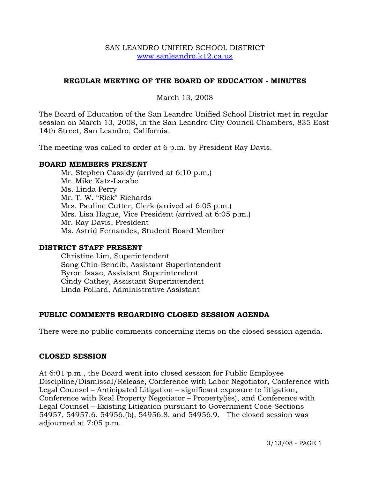### SAN LEANDRO UNIFIED SCHOOL DISTRICT www.sanleandro.k12.ca.us

# **REGULAR MEETING OF THE BOARD OF EDUCATION - MINUTES**

March 13, 2008

The Board of Education of the San Leandro Unified School District met in regular session on March 13, 2008, in the San Leandro City Council Chambers, 835 East 14th Street, San Leandro, California.

The meeting was called to order at 6 p.m. by President Ray Davis.

### **BOARD MEMBERS PRESENT**

Mr. Stephen Cassidy (arrived at 6:10 p.m.) Mr. Mike Katz-Lacabe Ms. Linda Perry Mr. T. W. "Rick" Richards Mrs. Pauline Cutter, Clerk (arrived at 6:05 p.m.) Mrs. Lisa Hague, Vice President (arrived at 6:05 p.m.) Mr. Ray Davis, President Ms. Astrid Fernandes, Student Board Member

## **DISTRICT STAFF PRESENT**

Christine Lim, Superintendent Song Chin-Bendib, Assistant Superintendent Byron Isaac, Assistant Superintendent Cindy Cathey, Assistant Superintendent Linda Pollard, Administrative Assistant

## **PUBLIC COMMENTS REGARDING CLOSED SESSION AGENDA**

There were no public comments concerning items on the closed session agenda.

## **CLOSED SESSION**

At 6:01 p.m., the Board went into closed session for Public Employee Discipline/Dismissal/Release, Conference with Labor Negotiator, Conference with Legal Counsel – Anticipated Litigation – significant exposure to litigation, Conference with Real Property Negotiator – Property(ies), and Conference with Legal Counsel – Existing Litigation pursuant to Government Code Sections 54957, 54957.6, 54956.(b), 54956.8, and 54956.9. The closed session was adjourned at 7:05 p.m.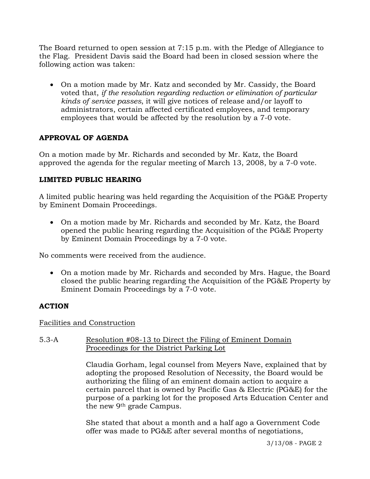The Board returned to open session at 7:15 p.m. with the Pledge of Allegiance to the Flag. President Davis said the Board had been in closed session where the following action was taken:

• On a motion made by Mr. Katz and seconded by Mr. Cassidy, the Board voted that, *if the resolution regarding reduction or elimination of particular kinds of service passes*, it will give notices of release and/or layoff to administrators, certain affected certificated employees, and temporary employees that would be affected by the resolution by a 7-0 vote.

# **APPROVAL OF AGENDA**

On a motion made by Mr. Richards and seconded by Mr. Katz, the Board approved the agenda for the regular meeting of March 13, 2008, by a 7-0 vote.

## **LIMITED PUBLIC HEARING**

A limited public hearing was held regarding the Acquisition of the PG&E Property by Eminent Domain Proceedings.

• On a motion made by Mr. Richards and seconded by Mr. Katz, the Board opened the public hearing regarding the Acquisition of the PG&E Property by Eminent Domain Proceedings by a 7-0 vote.

No comments were received from the audience.

• On a motion made by Mr. Richards and seconded by Mrs. Hague, the Board closed the public hearing regarding the Acquisition of the PG&E Property by Eminent Domain Proceedings by a 7-0 vote.

## **ACTION**

## Facilities and Construction

5.3-A Resolution #08-13 to Direct the Filing of Eminent Domain Proceedings for the District Parking Lot

> Claudia Gorham, legal counsel from Meyers Nave, explained that by adopting the proposed Resolution of Necessity, the Board would be authorizing the filing of an eminent domain action to acquire a certain parcel that is owned by Pacific Gas & Electric (PG&E) for the purpose of a parking lot for the proposed Arts Education Center and the new 9th grade Campus.

She stated that about a month and a half ago a Government Code offer was made to PG&E after several months of negotiations,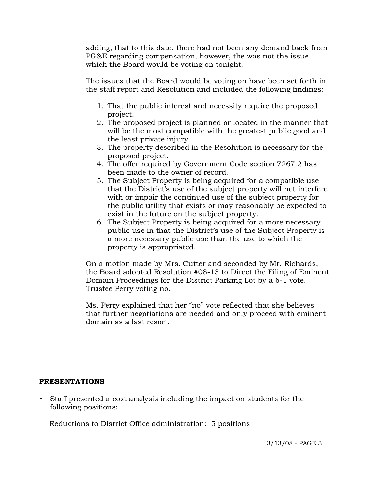adding, that to this date, there had not been any demand back from PG&E regarding compensation; however, the was not the issue which the Board would be voting on tonight.

The issues that the Board would be voting on have been set forth in the staff report and Resolution and included the following findings:

- 1. That the public interest and necessity require the proposed project.
- 2. The proposed project is planned or located in the manner that will be the most compatible with the greatest public good and the least private injury.
- 3. The property described in the Resolution is necessary for the proposed project.
- 4. The offer required by Government Code section 7267.2 has been made to the owner of record.
- 5. The Subject Property is being acquired for a compatible use that the District's use of the subject property will not interfere with or impair the continued use of the subject property for the public utility that exists or may reasonably be expected to exist in the future on the subject property.
- 6. The Subject Property is being acquired for a more necessary public use in that the District's use of the Subject Property is a more necessary public use than the use to which the property is appropriated.

On a motion made by Mrs. Cutter and seconded by Mr. Richards, the Board adopted Resolution #08-13 to Direct the Filing of Eminent Domain Proceedings for the District Parking Lot by a 6-1 vote. Trustee Perry voting no.

Ms. Perry explained that her "no" vote reflected that she believes that further negotiations are needed and only proceed with eminent domain as a last resort.

## **PRESENTATIONS**

∗ Staff presented a cost analysis including the impact on students for the following positions:

## Reductions to District Office administration: 5 positions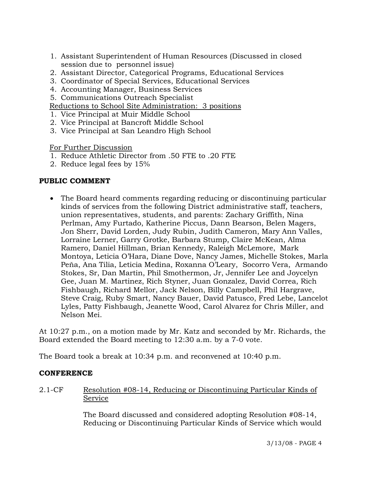- 1. Assistant Superintendent of Human Resources (Discussed in closed session due to personnel issue)
- 2. Assistant Director, Categorical Programs, Educational Services
- 3. Coordinator of Special Services, Educational Services
- 4. Accounting Manager, Business Services
- 5. Communications Outreach Specialist

Reductions to School Site Administration: 3 positions

- 1. Vice Principal at Muir Middle School
- 2. Vice Principal at Bancroft Middle School
- 3. Vice Principal at San Leandro High School

For Further Discussion

- 1. Reduce Athletic Director from .50 FTE to .20 FTE
- 2. Reduce legal fees by 15%

## **PUBLIC COMMENT**

• The Board heard comments regarding reducing or discontinuing particular kinds of services from the following District administrative staff, teachers, union representatives, students, and parents: Zachary Griffith, Nina Perlman, Amy Furtado, Katherine Piccus, Dann Bearson, Belen Magers, Jon Sherr, David Lorden, Judy Rubin, Judith Cameron, Mary Ann Valles, Lorraine Lerner, Garry Grotke, Barbara Stump, Claire McKean, Alma Ramero, Daniel Hillman, Brian Kennedy, Raleigh McLemore, Mark Montoya, Leticia O'Hara, Diane Dove, Nancy James, Michelle Stokes, Marla Peňa, Ana Tilia, Leticia Medina, Roxanna O'Leary, Socorro Vera, Armando Stokes, Sr, Dan Martin, Phil Smothermon, Jr, Jennifer Lee and Joycelyn Gee, Juan M. Martinez, Rich Styner, Juan Gonzalez, David Correa, Rich Fishbaugh, Richard Mellor, Jack Nelson, Billy Campbell, Phil Hargrave, Steve Craig, Ruby Smart, Nancy Bauer, David Patusco, Fred Lebe, Lancelot Lyles, Patty Fishbaugh, Jeanette Wood, Carol Alvarez for Chris Miller, and Nelson Mei.

At 10:27 p.m., on a motion made by Mr. Katz and seconded by Mr. Richards, the Board extended the Board meeting to 12:30 a.m. by a 7-0 vote.

The Board took a break at 10:34 p.m. and reconvened at 10:40 p.m.

## **CONFERENCE**

2.1-CF Resolution #08-14, Reducing or Discontinuing Particular Kinds of Service

> The Board discussed and considered adopting Resolution #08-14, Reducing or Discontinuing Particular Kinds of Service which would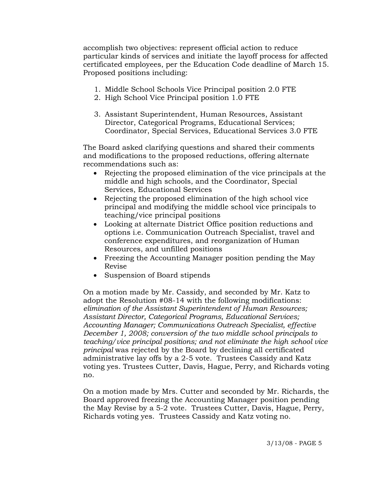accomplish two objectives: represent official action to reduce particular kinds of services and initiate the layoff process for affected certificated employees, per the Education Code deadline of March 15. Proposed positions including:

- 1. Middle School Schools Vice Principal position 2.0 FTE
- 2. High School Vice Principal position 1.0 FTE
- 3. Assistant Superintendent, Human Resources, Assistant Director, Categorical Programs, Educational Services; Coordinator, Special Services, Educational Services 3.0 FTE

The Board asked clarifying questions and shared their comments and modifications to the proposed reductions, offering alternate recommendations such as:

- Rejecting the proposed elimination of the vice principals at the middle and high schools, and the Coordinator, Special Services, Educational Services
- Rejecting the proposed elimination of the high school vice principal and modifying the middle school vice principals to teaching/vice principal positions
- Looking at alternate District Office position reductions and options i.e. Communication Outreach Specialist, travel and conference expenditures, and reorganization of Human Resources, and unfilled positions
- Freezing the Accounting Manager position pending the May Revise
- Suspension of Board stipends

On a motion made by Mr. Cassidy, and seconded by Mr. Katz to adopt the Resolution #08-14 with the following modifications: *elimination of the Assistant Superintendent of Human Resources; Assistant Director, Categorical Programs, Educational Services; Accounting Manager; Communications Outreach Specialist, effective December 1, 2008; conversion of the two middle school principals to teaching/vice principal positions; and not eliminate the high school vice principal* was rejected by the Board by declining all certificated administrative lay offs by a 2-5 vote. Trustees Cassidy and Katz voting yes. Trustees Cutter, Davis, Hague, Perry, and Richards voting no.

On a motion made by Mrs. Cutter and seconded by Mr. Richards, the Board approved freezing the Accounting Manager position pending the May Revise by a 5-2 vote. Trustees Cutter, Davis, Hague, Perry, Richards voting yes. Trustees Cassidy and Katz voting no.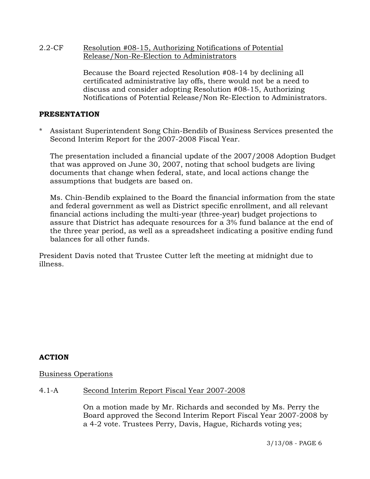### 2.2-CF Resolution #08-15, Authorizing Notifications of Potential Release/Non-Re-Election to Administrators

Because the Board rejected Resolution #08-14 by declining all certificated administrative lay offs, there would not be a need to discuss and consider adopting Resolution #08-15, Authorizing Notifications of Potential Release/Non Re-Election to Administrators.

### **PRESENTATION**

Assistant Superintendent Song Chin-Bendib of Business Services presented the Second Interim Report for the 2007-2008 Fiscal Year.

 The presentation included a financial update of the 2007/2008 Adoption Budget that was approved on June 30, 2007, noting that school budgets are living documents that change when federal, state, and local actions change the assumptions that budgets are based on.

 Ms. Chin-Bendib explained to the Board the financial information from the state and federal government as well as District specific enrollment, and all relevant financial actions including the multi-year (three-year) budget projections to assure that District has adequate resources for a 3% fund balance at the end of the three year period, as well as a spreadsheet indicating a positive ending fund balances for all other funds.

President Davis noted that Trustee Cutter left the meeting at midnight due to illness.

## **ACTION**

## Business Operations

## 4.1-A Second Interim Report Fiscal Year 2007-2008

On a motion made by Mr. Richards and seconded by Ms. Perry the Board approved the Second Interim Report Fiscal Year 2007-2008 by a 4-2 vote. Trustees Perry, Davis, Hague, Richards voting yes;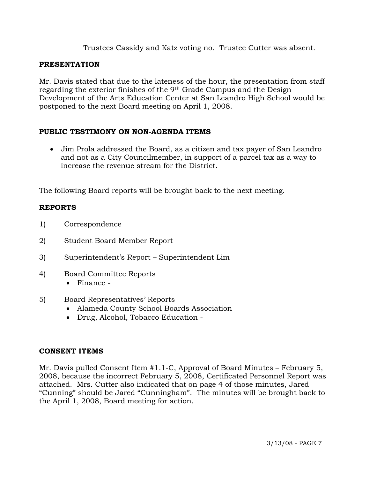Trustees Cassidy and Katz voting no. Trustee Cutter was absent.

# **PRESENTATION**

Mr. Davis stated that due to the lateness of the hour, the presentation from staff regarding the exterior finishes of the 9th Grade Campus and the Design Development of the Arts Education Center at San Leandro High School would be postponed to the next Board meeting on April 1, 2008.

# **PUBLIC TESTIMONY ON NON-AGENDA ITEMS**

• Jim Prola addressed the Board, as a citizen and tax payer of San Leandro and not as a City Councilmember, in support of a parcel tax as a way to increase the revenue stream for the District.

The following Board reports will be brought back to the next meeting.

# **REPORTS**

- 1) Correspondence
- 2) Student Board Member Report
- 3) Superintendent's Report Superintendent Lim
- 4) Board Committee Reports
	- Finance -
- 5) Board Representatives' Reports
	- Alameda County School Boards Association
	- Drug, Alcohol, Tobacco Education -

## **CONSENT ITEMS**

Mr. Davis pulled Consent Item #1.1-C, Approval of Board Minutes – February 5, 2008, because the incorrect February 5, 2008, Certificated Personnel Report was attached. Mrs. Cutter also indicated that on page 4 of those minutes, Jared "Cunning" should be Jared "Cunningham". The minutes will be brought back to the April 1, 2008, Board meeting for action.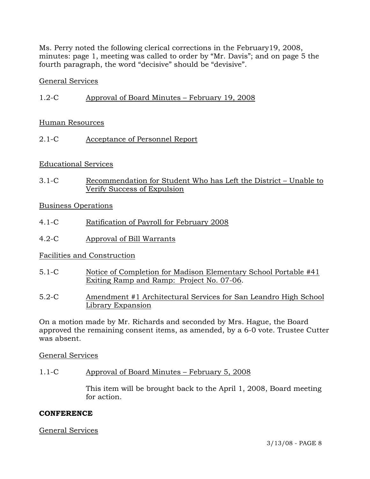Ms. Perry noted the following clerical corrections in the February19, 2008, minutes: page 1, meeting was called to order by "Mr. Davis"; and on page 5 the fourth paragraph, the word "decisive" should be "devisive".

#### General Services

1.2-C Approval of Board Minutes – February 19, 2008

### Human Resources

2.1-C Acceptance of Personnel Report

### Educational Services

3.1-C Recommendation for Student Who has Left the District – Unable to Verify Success of Expulsion

### Business Operations

- 4.1-C Ratification of Payroll for February 2008
- 4.2-C Approval of Bill Warrants

## Facilities and Construction

- 5.1-C Notice of Completion for Madison Elementary School Portable #41 Exiting Ramp and Ramp: Project No. 07-06.
- 5.2-C Amendment #1 Architectural Services for San Leandro High School Library Expansion

On a motion made by Mr. Richards and seconded by Mrs. Hague, the Board approved the remaining consent items, as amended, by a 6-0 vote. Trustee Cutter was absent.

General Services

#### 1.1-C Approval of Board Minutes – February 5, 2008

This item will be brought back to the April 1, 2008, Board meeting for action.

#### **CONFERENCE**

#### General Services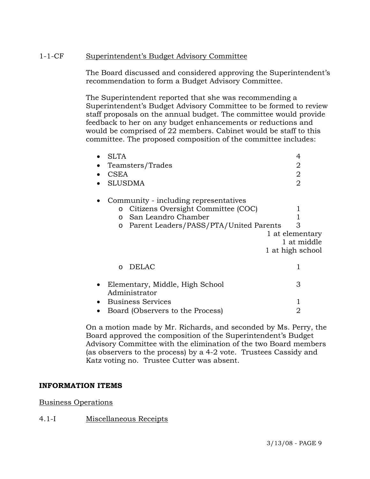## 1-1-CF Superintendent's Budget Advisory Committee

The Board discussed and considered approving the Superintendent's recommendation to form a Budget Advisory Committee.

The Superintendent reported that she was recommending a Superintendent's Budget Advisory Committee to be formed to review staff proposals on the annual budget. The committee would provide feedback to her on any budget enhancements or reductions and would be comprised of 22 members. Cabinet would be staff to this committee. The proposed composition of the committee includes:

| <b>SLTA</b>                                 | 4                |
|---------------------------------------------|------------------|
| Teamsters/Trades                            | 2                |
| <b>CSEA</b>                                 | 2                |
| <b>SLUSDMA</b>                              | $\overline{2}$   |
| Community - including representatives       |                  |
| Citizens Oversight Committee (COC)<br>O     |                  |
| San Leandro Chamber<br>$\Omega$             |                  |
| Parent Leaders/PASS/PTA/United Parents<br>O | З                |
|                                             | 1 at elementary  |
|                                             | 1 at middle      |
|                                             | 1 at high school |
| DELAC<br>$\Omega$                           |                  |
| Elementary, Middle, High School             | 3                |
| Administrator                               |                  |
| Business Services                           |                  |
| Board (Observers to the Process)            | 2                |

On a motion made by Mr. Richards, and seconded by Ms. Perry, the Board approved the composition of the Superintendent's Budget Advisory Committee with the elimination of the two Board members (as observers to the process) by a 4-2 vote. Trustees Cassidy and Katz voting no. Trustee Cutter was absent.

## **INFORMATION ITEMS**

#### Business Operations

## 4.1-I Miscellaneous Receipts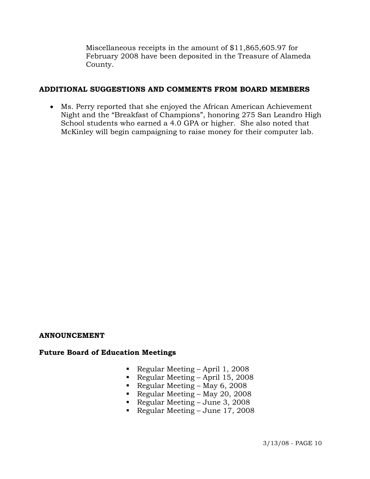Miscellaneous receipts in the amount of \$11,865,605.97 for February 2008 have been deposited in the Treasure of Alameda County.

# **ADDITIONAL SUGGESTIONS AND COMMENTS FROM BOARD MEMBERS**

• Ms. Perry reported that she enjoyed the African American Achievement Night and the "Breakfast of Champions", honoring 275 San Leandro High School students who earned a 4.0 GPA or higher. She also noted that McKinley will begin campaigning to raise money for their computer lab.

#### **ANNOUNCEMENT**

## **Future Board of Education Meetings**

- Regular Meeting April 1, 2008
- Regular Meeting April 15, 2008
- Regular Meeting May 6, 2008
- Regular Meeting May 20, 2008
- Regular Meeting June 3, 2008
- Regular Meeting June  $17, 2008$